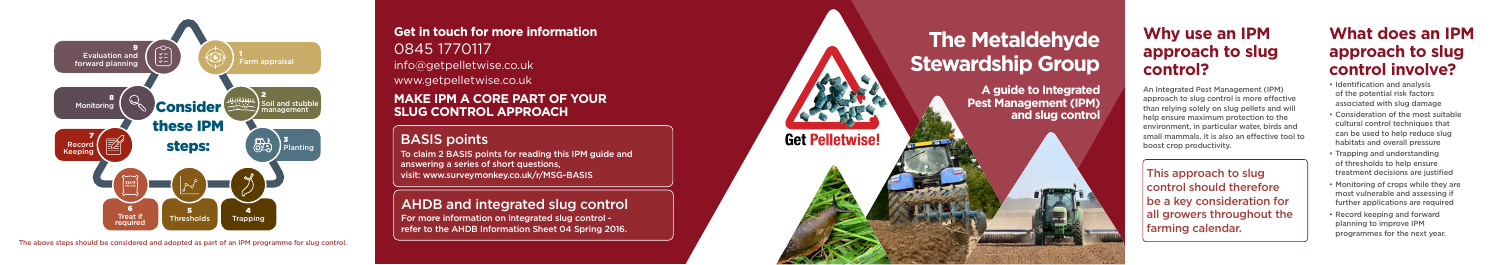

The above steps should be considered and adopted as part of an IPM programme for slug control.

**Get in touch for more information**  0845 1770117 info@getpelletwise.co.uk www.getpelletwise.co.uk

## **MAKE IPM A CORE PART OF YOUR SLUG CONTROL APPROACH**

# BASIS points

To claim 2 BASIS points for reading this IPM guide and answering a series of short questions, visit: www.surveymonkey.co.uk/r/MSG-BASIS

# AHDB and integrated slug control

For more information on integrated slug control refer to the AHDB Information Sheet 04 Spring 2016.

# **The Metaldehyde Stewardship Group**

**A guide to Integrated Pest Management (IPM) and slug control** 

**Get Pelletwise!** 

# **Why use an IPM approach to slug control?**

An Integrated Pest Management (IPM) approach to slug control is more effective than relying solely on slug pellets and will help ensure maximum protection to the environment, in particular water, birds and small mammals. It is also an effective tool to boost crop productivity.

This approach to slug control should therefore be a key consideration for all growers throughout the farming calendar.

# **What does an IPM approach to slug control involve?**

- Identification and analysis of the potential risk factors associated with slug damage
- Consideration of the most suitable cultural control techniques that can be used to help reduce slug habitats and overall pressure
- Trapping and understanding of thresholds to help ensure treatment decisions are justified
- Monitoring of crops while they are most vulnerable and assessing if further applications are required
- Record keeping and forward planning to improve IPM programmes for the next year.